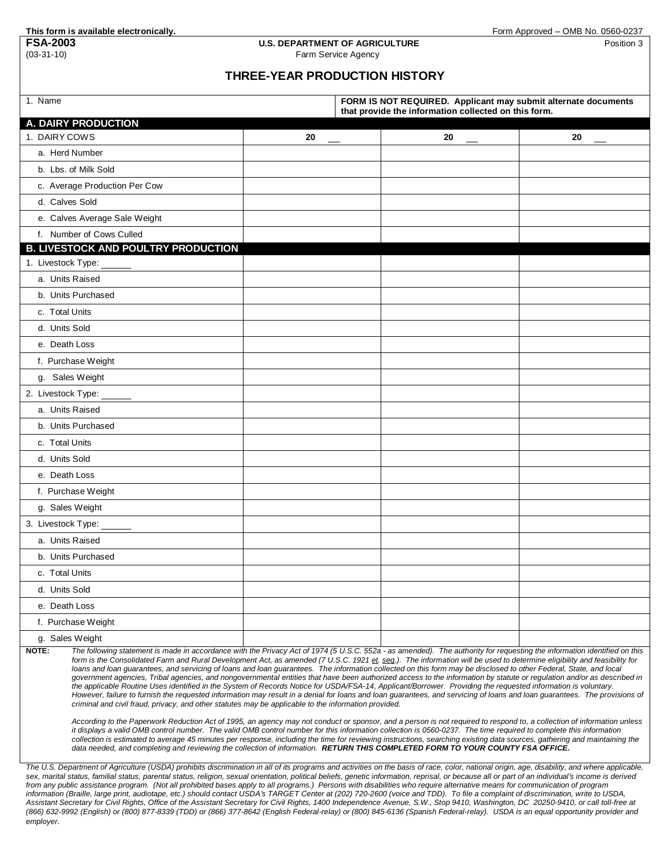## **This form is available electronically.**<br>**FSA-2003 U.S. DEPARTMENT OF AGRICULTURE** FOR **FORE COMB No. 0560-0237 U.S. DEPARTMENT OF AGRICULTURE FSA-2003 U.S. DEPARTMENT OF AGRICULTURE** Position 3<br> **Position 3**<br> **Position 3**<br> **Earm Service Agency**

## Farm Service Agency

## **THREE-YEAR PRODUCTION HISTORY**

| 1. Name                                                                                                                                                                                                                                                                                                                                                                                                                                                                                                                                                                                                                                                                                                                                                                                                                                                                                                                                                                                                                                                                                                                                                                                                                                                                                                                                                                                                                                                                                                          |    | FORM IS NOT REQUIRED. Applicant may submit alternate documents<br>that provide the information collected on this form. |    |    |
|------------------------------------------------------------------------------------------------------------------------------------------------------------------------------------------------------------------------------------------------------------------------------------------------------------------------------------------------------------------------------------------------------------------------------------------------------------------------------------------------------------------------------------------------------------------------------------------------------------------------------------------------------------------------------------------------------------------------------------------------------------------------------------------------------------------------------------------------------------------------------------------------------------------------------------------------------------------------------------------------------------------------------------------------------------------------------------------------------------------------------------------------------------------------------------------------------------------------------------------------------------------------------------------------------------------------------------------------------------------------------------------------------------------------------------------------------------------------------------------------------------------|----|------------------------------------------------------------------------------------------------------------------------|----|----|
| A. DAIRY PRODUCTION                                                                                                                                                                                                                                                                                                                                                                                                                                                                                                                                                                                                                                                                                                                                                                                                                                                                                                                                                                                                                                                                                                                                                                                                                                                                                                                                                                                                                                                                                              |    |                                                                                                                        |    |    |
| 1. DAIRY COWS                                                                                                                                                                                                                                                                                                                                                                                                                                                                                                                                                                                                                                                                                                                                                                                                                                                                                                                                                                                                                                                                                                                                                                                                                                                                                                                                                                                                                                                                                                    | 20 |                                                                                                                        | 20 | 20 |
| a. Herd Number                                                                                                                                                                                                                                                                                                                                                                                                                                                                                                                                                                                                                                                                                                                                                                                                                                                                                                                                                                                                                                                                                                                                                                                                                                                                                                                                                                                                                                                                                                   |    |                                                                                                                        |    |    |
| b. Lbs. of Milk Sold                                                                                                                                                                                                                                                                                                                                                                                                                                                                                                                                                                                                                                                                                                                                                                                                                                                                                                                                                                                                                                                                                                                                                                                                                                                                                                                                                                                                                                                                                             |    |                                                                                                                        |    |    |
| c. Average Production Per Cow                                                                                                                                                                                                                                                                                                                                                                                                                                                                                                                                                                                                                                                                                                                                                                                                                                                                                                                                                                                                                                                                                                                                                                                                                                                                                                                                                                                                                                                                                    |    |                                                                                                                        |    |    |
| d. Calves Sold                                                                                                                                                                                                                                                                                                                                                                                                                                                                                                                                                                                                                                                                                                                                                                                                                                                                                                                                                                                                                                                                                                                                                                                                                                                                                                                                                                                                                                                                                                   |    |                                                                                                                        |    |    |
| e. Calves Average Sale Weight                                                                                                                                                                                                                                                                                                                                                                                                                                                                                                                                                                                                                                                                                                                                                                                                                                                                                                                                                                                                                                                                                                                                                                                                                                                                                                                                                                                                                                                                                    |    |                                                                                                                        |    |    |
| f. Number of Cows Culled                                                                                                                                                                                                                                                                                                                                                                                                                                                                                                                                                                                                                                                                                                                                                                                                                                                                                                                                                                                                                                                                                                                                                                                                                                                                                                                                                                                                                                                                                         |    |                                                                                                                        |    |    |
| <b>B. LIVESTOCK AND POULTRY PRODUCTION</b>                                                                                                                                                                                                                                                                                                                                                                                                                                                                                                                                                                                                                                                                                                                                                                                                                                                                                                                                                                                                                                                                                                                                                                                                                                                                                                                                                                                                                                                                       |    |                                                                                                                        |    |    |
| 1. Livestock Type:                                                                                                                                                                                                                                                                                                                                                                                                                                                                                                                                                                                                                                                                                                                                                                                                                                                                                                                                                                                                                                                                                                                                                                                                                                                                                                                                                                                                                                                                                               |    |                                                                                                                        |    |    |
| a. Units Raised                                                                                                                                                                                                                                                                                                                                                                                                                                                                                                                                                                                                                                                                                                                                                                                                                                                                                                                                                                                                                                                                                                                                                                                                                                                                                                                                                                                                                                                                                                  |    |                                                                                                                        |    |    |
| b. Units Purchased                                                                                                                                                                                                                                                                                                                                                                                                                                                                                                                                                                                                                                                                                                                                                                                                                                                                                                                                                                                                                                                                                                                                                                                                                                                                                                                                                                                                                                                                                               |    |                                                                                                                        |    |    |
| c. Total Units                                                                                                                                                                                                                                                                                                                                                                                                                                                                                                                                                                                                                                                                                                                                                                                                                                                                                                                                                                                                                                                                                                                                                                                                                                                                                                                                                                                                                                                                                                   |    |                                                                                                                        |    |    |
| d. Units Sold                                                                                                                                                                                                                                                                                                                                                                                                                                                                                                                                                                                                                                                                                                                                                                                                                                                                                                                                                                                                                                                                                                                                                                                                                                                                                                                                                                                                                                                                                                    |    |                                                                                                                        |    |    |
| e. Death Loss                                                                                                                                                                                                                                                                                                                                                                                                                                                                                                                                                                                                                                                                                                                                                                                                                                                                                                                                                                                                                                                                                                                                                                                                                                                                                                                                                                                                                                                                                                    |    |                                                                                                                        |    |    |
| f. Purchase Weight                                                                                                                                                                                                                                                                                                                                                                                                                                                                                                                                                                                                                                                                                                                                                                                                                                                                                                                                                                                                                                                                                                                                                                                                                                                                                                                                                                                                                                                                                               |    |                                                                                                                        |    |    |
| g. Sales Weight                                                                                                                                                                                                                                                                                                                                                                                                                                                                                                                                                                                                                                                                                                                                                                                                                                                                                                                                                                                                                                                                                                                                                                                                                                                                                                                                                                                                                                                                                                  |    |                                                                                                                        |    |    |
| 2. Livestock Type:                                                                                                                                                                                                                                                                                                                                                                                                                                                                                                                                                                                                                                                                                                                                                                                                                                                                                                                                                                                                                                                                                                                                                                                                                                                                                                                                                                                                                                                                                               |    |                                                                                                                        |    |    |
| a. Units Raised                                                                                                                                                                                                                                                                                                                                                                                                                                                                                                                                                                                                                                                                                                                                                                                                                                                                                                                                                                                                                                                                                                                                                                                                                                                                                                                                                                                                                                                                                                  |    |                                                                                                                        |    |    |
| b. Units Purchased                                                                                                                                                                                                                                                                                                                                                                                                                                                                                                                                                                                                                                                                                                                                                                                                                                                                                                                                                                                                                                                                                                                                                                                                                                                                                                                                                                                                                                                                                               |    |                                                                                                                        |    |    |
| c. Total Units                                                                                                                                                                                                                                                                                                                                                                                                                                                                                                                                                                                                                                                                                                                                                                                                                                                                                                                                                                                                                                                                                                                                                                                                                                                                                                                                                                                                                                                                                                   |    |                                                                                                                        |    |    |
| d. Units Sold                                                                                                                                                                                                                                                                                                                                                                                                                                                                                                                                                                                                                                                                                                                                                                                                                                                                                                                                                                                                                                                                                                                                                                                                                                                                                                                                                                                                                                                                                                    |    |                                                                                                                        |    |    |
| e. Death Loss                                                                                                                                                                                                                                                                                                                                                                                                                                                                                                                                                                                                                                                                                                                                                                                                                                                                                                                                                                                                                                                                                                                                                                                                                                                                                                                                                                                                                                                                                                    |    |                                                                                                                        |    |    |
| f. Purchase Weight                                                                                                                                                                                                                                                                                                                                                                                                                                                                                                                                                                                                                                                                                                                                                                                                                                                                                                                                                                                                                                                                                                                                                                                                                                                                                                                                                                                                                                                                                               |    |                                                                                                                        |    |    |
| g. Sales Weight                                                                                                                                                                                                                                                                                                                                                                                                                                                                                                                                                                                                                                                                                                                                                                                                                                                                                                                                                                                                                                                                                                                                                                                                                                                                                                                                                                                                                                                                                                  |    |                                                                                                                        |    |    |
| 3. Livestock Type:                                                                                                                                                                                                                                                                                                                                                                                                                                                                                                                                                                                                                                                                                                                                                                                                                                                                                                                                                                                                                                                                                                                                                                                                                                                                                                                                                                                                                                                                                               |    |                                                                                                                        |    |    |
| a. Units Raised                                                                                                                                                                                                                                                                                                                                                                                                                                                                                                                                                                                                                                                                                                                                                                                                                                                                                                                                                                                                                                                                                                                                                                                                                                                                                                                                                                                                                                                                                                  |    |                                                                                                                        |    |    |
| b. Units Purchased                                                                                                                                                                                                                                                                                                                                                                                                                                                                                                                                                                                                                                                                                                                                                                                                                                                                                                                                                                                                                                                                                                                                                                                                                                                                                                                                                                                                                                                                                               |    |                                                                                                                        |    |    |
| c. Total Units                                                                                                                                                                                                                                                                                                                                                                                                                                                                                                                                                                                                                                                                                                                                                                                                                                                                                                                                                                                                                                                                                                                                                                                                                                                                                                                                                                                                                                                                                                   |    |                                                                                                                        |    |    |
| d. Units Sold                                                                                                                                                                                                                                                                                                                                                                                                                                                                                                                                                                                                                                                                                                                                                                                                                                                                                                                                                                                                                                                                                                                                                                                                                                                                                                                                                                                                                                                                                                    |    |                                                                                                                        |    |    |
| e. Death Loss                                                                                                                                                                                                                                                                                                                                                                                                                                                                                                                                                                                                                                                                                                                                                                                                                                                                                                                                                                                                                                                                                                                                                                                                                                                                                                                                                                                                                                                                                                    |    |                                                                                                                        |    |    |
| f. Purchase Weight                                                                                                                                                                                                                                                                                                                                                                                                                                                                                                                                                                                                                                                                                                                                                                                                                                                                                                                                                                                                                                                                                                                                                                                                                                                                                                                                                                                                                                                                                               |    |                                                                                                                        |    |    |
| g. Sales Weight                                                                                                                                                                                                                                                                                                                                                                                                                                                                                                                                                                                                                                                                                                                                                                                                                                                                                                                                                                                                                                                                                                                                                                                                                                                                                                                                                                                                                                                                                                  |    |                                                                                                                        |    |    |
| NOTE:<br>The following statement is made in accordance with the Privacy Act of 1974 (5 U.S.C. 552a - as amended). The authority for requesting the information identified on this<br>form is the Consolidated Farm and Rural Development Act, as amended (7 U.S.C. 1921 et. seg.). The information will be used to determine eligibility and feasibility for<br>loans and loan quarantees, and servicing of loans and loan quarantees. The information collected on this form may be disclosed to other Federal, State, and local<br>government agencies, Tribal agencies, and nongovernmental entities that have been authorized access to the information by statute or regulation and/or as described in<br>the applicable Routine Uses identified in the System of Records Notice for USDA/FSA-14, Applicant/Borrower. Providing the requested information is voluntary.<br>However, failure to furnish the requested information may result in a denial for loans and loan guarantees, and servicing of loans and loan guarantees. The provisions of<br>criminal and civil fraud, privacy, and other statutes may be applicable to the information provided.<br>According to the Paperwork Reduction Act of 1995, an agency may not conduct or sponsor, and a person is not required to respond to, a collection of information unless<br>it displays a valid OMB control number. The valid OMB control number for this information collection is 0560-0237. The time required to complete this information |    |                                                                                                                        |    |    |
| collection is estimated to average 45 minutes per response, including the time for reviewing instructions, searching existing data sources, gathering and maintaining the<br>data needed, and completing and reviewing the collection of information. RETURN THIS COMPLETED FORM TO YOUR COUNTY FSA OFFICE.                                                                                                                                                                                                                                                                                                                                                                                                                                                                                                                                                                                                                                                                                                                                                                                                                                                                                                                                                                                                                                                                                                                                                                                                      |    |                                                                                                                        |    |    |

The U.S. Department of Agriculture (USDA) prohibits discrimination in all of its programs and activities on the basis of race, color, national origin, age, disability, and where applicable, sex, marital status, familial status, parental status, religion, sexual orientation, political beliefs, genetic information, reprisal, or because all or part of an individual's income is derived<br>from any public assistance information (Braille, large print, audiotape, etc.) should contact USDA's TARGET Center at (202) 720-2600 (voice and TDD). To file a complaint of discrimination, write to USDA,<br>Assistant Secretary for Civil Rights, Office *(866) 632-9992 (English) or (800) 877-8339 (TDD) or (866) 377-8642 (English Federal-relay) or (800) 845-6136 (Spanish Federal-relay). USDA is an equal opportunity provider and employer.*